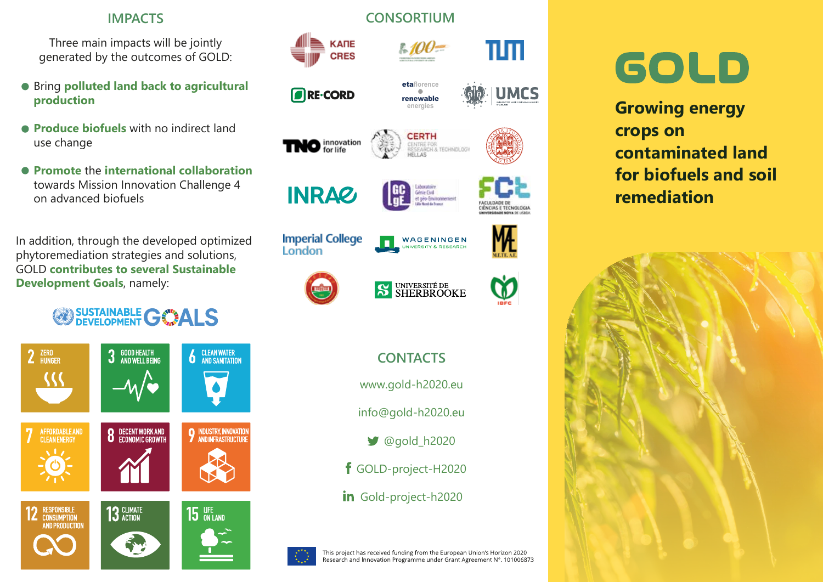# **IMPACTS**

Three main impacts will be jointly generated by the outcomes of GOLD:

- Bring **polluted land back to agricultural production**
- **Produce biofuels** with no indirect land use change
- **Promote** the **international collaboration** towards Mission Innovation Challenge 4 on advanced biofuels

In addition, through the developed optimized phytoremediation strategies and solutions, GOLD **contributes to several Sustainable Development Goals**, namely:







# **CONTACTS**

www.gold-h2020.eu

info@gold-h2020.eu

- $\bigcirc$  @gold h2020
- GOLD-project-H2020
- in Gold-project-h2020



# GOLD

**Growing energy crops on contaminated land for biofuels and soil remediation**